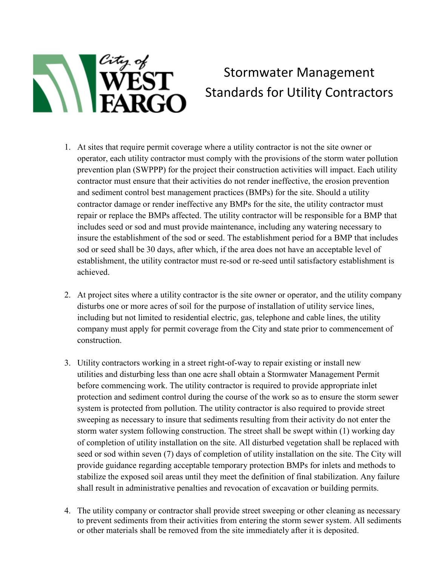

## Stormwater Management Standards for Utility Contractors

- 1. At sites that require permit coverage where a utility contractor is not the site owner or operator, each utility contractor must comply with the provisions of the storm water pollution prevention plan (SWPPP) for the project their construction activities will impact. Each utility contractor must ensure that their activities do not render ineffective, the erosion prevention and sediment control best management practices (BMPs) for the site. Should a utility contractor damage or render ineffective any BMPs for the site, the utility contractor must repair or replace the BMPs affected. The utility contractor will be responsible for a BMP that includes seed or sod and must provide maintenance, including any watering necessary to insure the establishment of the sod or seed. The establishment period for a BMP that includes sod or seed shall be 30 days, after which, if the area does not have an acceptable level of establishment, the utility contractor must re-sod or re-seed until satisfactory establishment is achieved.
- 2. At project sites where a utility contractor is the site owner or operator, and the utility company disturbs one or more acres of soil for the purpose of installation of utility service lines, including but not limited to residential electric, gas, telephone and cable lines, the utility company must apply for permit coverage from the City and state prior to commencement of construction.
- 3. Utility contractors working in a street right-of-way to repair existing or install new utilities and disturbing less than one acre shall obtain a Stormwater Management Permit before commencing work. The utility contractor is required to provide appropriate inlet protection and sediment control during the course of the work so as to ensure the storm sewer system is protected from pollution. The utility contractor is also required to provide street sweeping as necessary to insure that sediments resulting from their activity do not enter the storm water system following construction. The street shall be swept within (1) working day of completion of utility installation on the site. All disturbed vegetation shall be replaced with seed or sod within seven (7) days of completion of utility installation on the site. The City will provide guidance regarding acceptable temporary protection BMPs for inlets and methods to stabilize the exposed soil areas until they meet the definition of final stabilization. Any failure shall result in administrative penalties and revocation of excavation or building permits.
- 4. The utility company or contractor shall provide street sweeping or other cleaning as necessary to prevent sediments from their activities from entering the storm sewer system. All sediments or other materials shall be removed from the site immediately after it is deposited.